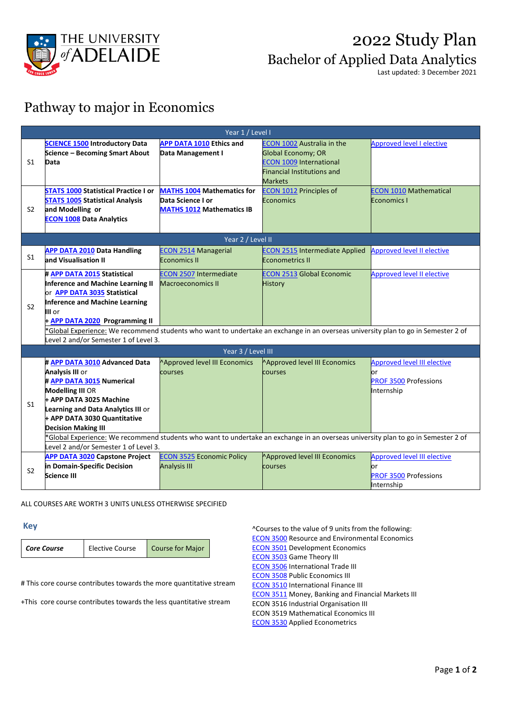

## 2022 Study Plan Bachelor of Applied Data Analytics

Last updated: 3 December 2021

### Pathway to major in Economics

| Year 1 / Level I   |                                                                                                                                                                                                                                                                                                                            |                                                                                           |                                                                                                                                                                                           |                                                                                         |  |
|--------------------|----------------------------------------------------------------------------------------------------------------------------------------------------------------------------------------------------------------------------------------------------------------------------------------------------------------------------|-------------------------------------------------------------------------------------------|-------------------------------------------------------------------------------------------------------------------------------------------------------------------------------------------|-----------------------------------------------------------------------------------------|--|
| S1                 | <b>SCIENCE 1500 Introductory Data</b><br>Science - Becoming Smart About<br>Data<br><b>STATS 1000 Statistical Practice I or</b>                                                                                                                                                                                             | <b>APP DATA 1010 Ethics and</b><br>Data Management I<br><b>MATHS 1004</b> Mathematics for | <b>ECON 1002 Australia in the</b><br><b>Global Economy; OR</b><br><b>ECON 1009 International</b><br><b>Financial Institutions and</b><br><b>Markets</b><br><b>ECON 1012 Principles of</b> | <b>Approved level I elective</b><br><b>ECON 1010 Mathematical</b>                       |  |
| S <sub>2</sub>     | <b>STATS 1005 Statistical Analysis</b><br>and Modelling or<br><b>ECON 1008 Data Analytics</b>                                                                                                                                                                                                                              | Data Science I or<br><b>MATHS 1012</b> Mathematics IB                                     | <b>Economics</b>                                                                                                                                                                          | <b>Economics I</b>                                                                      |  |
|                    | Year 2 / Level II                                                                                                                                                                                                                                                                                                          |                                                                                           |                                                                                                                                                                                           |                                                                                         |  |
| S <sub>1</sub>     | <b>APP DATA 2010 Data Handling</b><br>and Visualisation II                                                                                                                                                                                                                                                                 | <b>ECON 2514 Managerial</b><br><b>Economics II</b>                                        | <b>ECON 2515 Intermediate Applied</b><br><b>Econometrics II</b>                                                                                                                           | <b>Approved level II elective</b>                                                       |  |
| S <sub>2</sub>     | # APP DATA 2015 Statistical<br>Inference and Machine Learning II<br>or APP DATA 3035 Statistical<br><b>Inference and Machine Learning</b><br>III or<br>+ APP DATA 2020 Programming II<br>*Global Experience: We recommend students who want to undertake an exchange in an overseas university plan to go in Semester 2 of | <b>ECON 2507 Intermediate</b><br><b>Macroeconomics II</b>                                 | <b>ECON 2513 Global Economic</b><br><b>History</b>                                                                                                                                        | <b>Approved level II elective</b>                                                       |  |
|                    | Level 2 and/or Semester 1 of Level 3.                                                                                                                                                                                                                                                                                      |                                                                                           |                                                                                                                                                                                           |                                                                                         |  |
| Year 3 / Level III |                                                                                                                                                                                                                                                                                                                            |                                                                                           |                                                                                                                                                                                           |                                                                                         |  |
| S <sub>1</sub>     | # APP DATA 3010 Advanced Data<br><b>Analysis III or</b><br># APP DATA 3015 Numerical<br><b>Modelling III OR</b><br>+ APP DATA 3025 Machine<br>Learning and Data Analytics III or<br>+ APP DATA 3030 Quantitative<br><b>Decision Making III</b>                                                                             | Approved level III Economics<br>courses                                                   | Approved level III Economics<br>courses                                                                                                                                                   | <b>Approved level III elective</b><br>or<br><b>PROF 3500 Professions</b><br>Internship  |  |
|                    | *Global Experience: We recommend students who want to undertake an exchange in an overseas university plan to go in Semester 2 of<br>Level 2 and/or Semester 1 of Level 3.                                                                                                                                                 |                                                                                           |                                                                                                                                                                                           |                                                                                         |  |
| S <sub>2</sub>     | <b>APP DATA 3020 Capstone Project</b><br>in Domain-Specific Decision<br>Science III                                                                                                                                                                                                                                        | <b>ECON 3525 Economic Policy</b><br><b>Analysis III</b>                                   | Approved level III Economics<br>courses                                                                                                                                                   | <b>Approved level III elective</b><br>lor<br><b>PROF 3500 Professions</b><br>Internship |  |

ALL COURSES ARE WORTH 3 UNITS UNLESS OTHERWISE SPECIFIED

**Key** 

| <b>Core Course</b> | <b>Elective Course</b> | Course for Major |
|--------------------|------------------------|------------------|
|--------------------|------------------------|------------------|

# This core course contributes towards the more quantitative stream

+This core course contributes towards the less quantitative stream

^Courses to the value of 9 units from the following: [ECON 3500](https://www.adelaide.edu.au/course-outlines/105506/1/sem-1/) Resource and Environmental Economics [ECON 3501](https://www.adelaide.edu.au/course-outlines/105507/1/sem-1/) Development Economics [ECON 3503](https://www.adelaide.edu.au/course-outlines/105509/1/sem-2/) Game Theory III [ECON 3506](https://www.adelaide.edu.au/course-outlines/105511/1/sem-1/) International Trade III [ECON 3508](https://www.adelaide.edu.au/course-outlines/105513/1/sem-2/) Public Economics III [ECON 3510](https://www.adelaide.edu.au/course-outlines/105515/1/sem-2/) International Finance III [ECON 3511](https://www.adelaide.edu.au/course-outlines/105517/1/sem-1/) Money, Banking and Financial Markets III ECON 3516 Industrial Organisation III ECON 3519 Mathematical Economics III [ECON 3530](https://access.adelaide.edu.au/courses/search.asp?year=2022&m=r&subject=ECON&catalogue=3530) Applied Econometrics